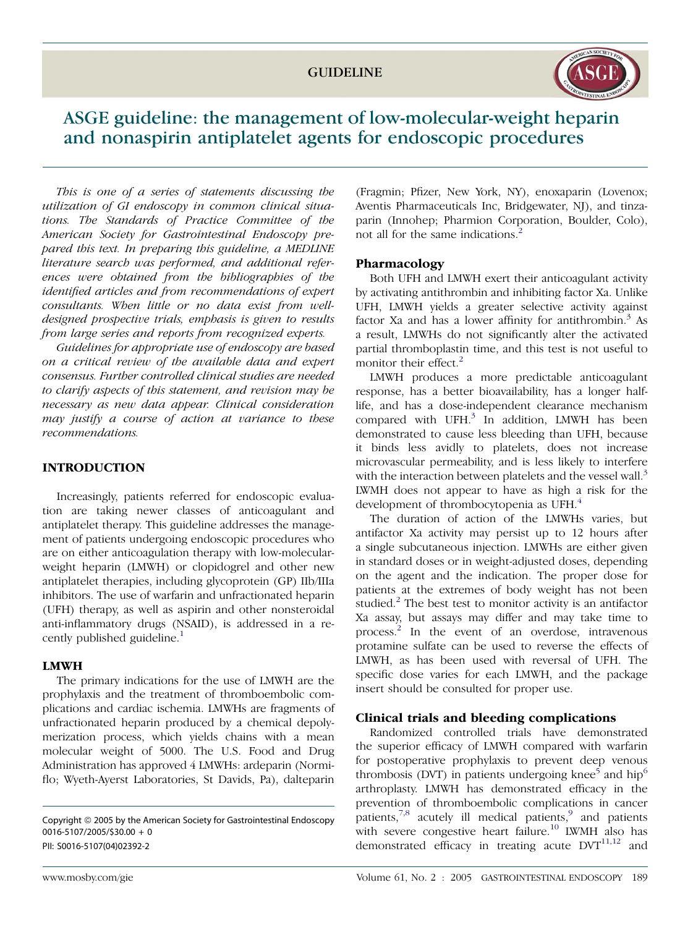

# ASGE guideline: the management of low-molecular-weight heparin and nonaspirin antiplatelet agents for endoscopic procedures

This is one of a series of statements discussing the utilization of GI endoscopy in common clinical situations. The Standards of Practice Committee of the American Society for Gastrointestinal Endoscopy prepared this text. In preparing this guideline, a MEDLINE literature search was performed, and additional references were obtained from the bibliographies of the identified articles and from recommendations of expert consultants. When little or no data exist from welldesigned prospective trials, emphasis is given to results from large series and reports from recognized experts.

Guidelines for appropriate use of endoscopy are based on a critical review of the available data and expert consensus. Further controlled clinical studies are needed to clarify aspects of this statement, and revision may be necessary as new data appear. Clinical consideration may justify a course of action at variance to these recommendations.

# **INTRODUCTION**

Increasingly, patients referred for endoscopic evaluation are taking newer classes of anticoagulant and antiplatelet therapy. This guideline addresses the management of patients undergoing endoscopic procedures who are on either anticoagulation therapy with low-molecularweight heparin (LMWH) or clopidogrel and other new antiplatelet therapies, including glycoprotein (GP) IIb/IIIa inhibitors. The use of warfarin and unfractionated heparin (UFH) therapy, as well as aspirin and other nonsteroidal anti-inflammatory drugs (NSAID), is addressed in a re-cently published guideline.<sup>[1](#page-4-0)</sup>

#### LMWH

The primary indications for the use of LMWH are the prophylaxis and the treatment of thromboembolic complications and cardiac ischemia. LMWHs are fragments of unfractionated heparin produced by a chemical depolymerization process, which yields chains with a mean molecular weight of 5000. The U.S. Food and Drug Administration has approved 4 LMWHs: ardeparin (Normiflo; Wyeth-Ayerst Laboratories, St Davids, Pa), dalteparin

(Fragmin; Pfizer, New York, NY), enoxaparin (Lovenox; Aventis Pharmaceuticals Inc, Bridgewater, NJ), and tinzaparin (Innohep; Pharmion Corporation, Boulder, Colo), not all for the same indications.<sup>[2](#page-4-0)</sup>

## Pharmacology

Both UFH and LMWH exert their anticoagulant activity by activating antithrombin and inhibiting factor Xa. Unlike UFH, LMWH yields a greater selective activity against factor Xa and has a lower affinity for antithrombin.<sup>3</sup> As a result, LMWHs do not significantly alter the activated partial thromboplastin time, and this test is not useful to monitor their effect.<sup>[2](#page-4-0)</sup>

LMWH produces a more predictable anticoagulant response, has a better bioavailability, has a longer halflife, and has a dose-independent clearance mechanism compared with  $UFH$ <sup>[3](#page-4-0)</sup> In addition, LMWH has been demonstrated to cause less bleeding than UFH, because it binds less avidly to platelets, does not increase microvascular permeability, and is less likely to interfere with the interaction between platelets and the vessel wall.<sup>[3](#page-4-0)</sup> LWMH does not appear to have as high a risk for the development of thrombocytopenia as UFH.<sup>[4](#page-4-0)</sup>

The duration of action of the LMWHs varies, but antifactor Xa activity may persist up to 12 hours after a single subcutaneous injection. LMWHs are either given in standard doses or in weight-adjusted doses, depending on the agent and the indication. The proper dose for patients at the extremes of body weight has not been studied. $^{2}$  $^{2}$  $^{2}$  The best test to monitor activity is an antifactor Xa assay, but assays may differ and may take time to process.[2](#page-4-0) In the event of an overdose, intravenous protamine sulfate can be used to reverse the effects of LMWH, as has been used with reversal of UFH. The specific dose varies for each LMWH, and the package insert should be consulted for proper use.

#### Clinical trials and bleeding complications

Randomized controlled trials have demonstrated the superior efficacy of LMWH compared with warfarin for postoperative prophylaxis to prevent deep venous thrombosis (DVT) in patients undergoing knee<sup>[5](#page-4-0)</sup> and hip<sup>[6](#page-4-0)</sup> arthroplasty. LMWH has demonstrated efficacy in the prevention of thromboembolic complications in cancer patients, $7,8$  acutely ill medical patients, $9$  and patients with severe congestive heart failure.<sup>[10](#page-4-0)</sup> LWMH also has demonstrated efficacy in treating acute  $DVT^{11,12}$  $DVT^{11,12}$  $DVT^{11,12}$  and

Copyright *ª* 2005 by the American Society for Gastrointestinal Endoscopy 0016-5107/2005/\$30.00 + 0 PII: S0016-5107(04)02392-2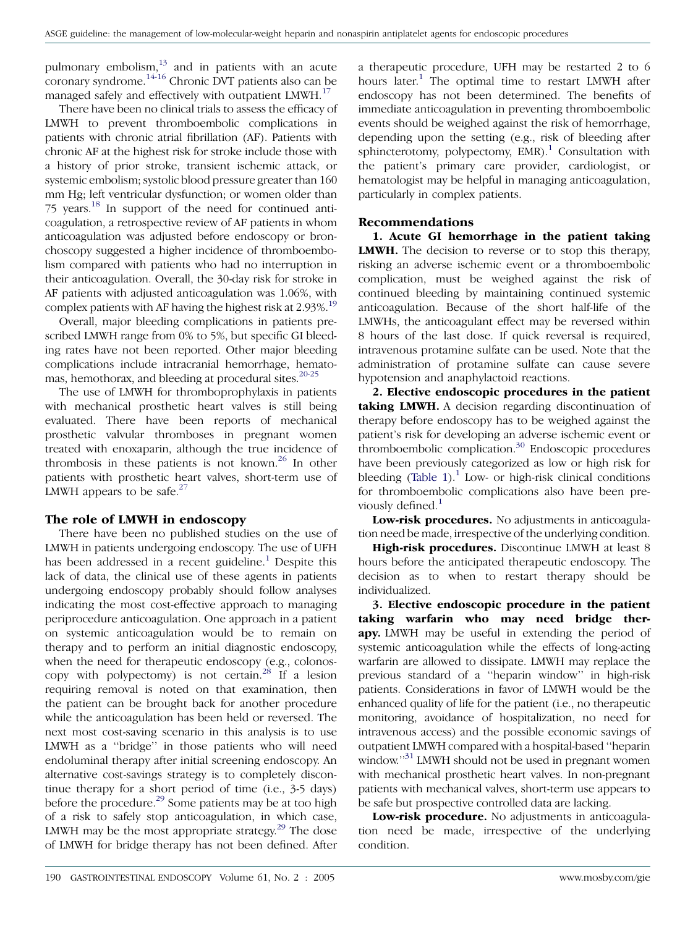pulmonary embolism, $13$  and in patients with an acute coronary syndrome.[14-16](#page-4-0) Chronic DVT patients also can be managed safely and effectively with outpatient LMWH.<sup>[17](#page-5-0)</sup>

There have been no clinical trials to assess the efficacy of LMWH to prevent thromboembolic complications in patients with chronic atrial fibrillation (AF). Patients with chronic AF at the highest risk for stroke include those with a history of prior stroke, transient ischemic attack, or systemic embolism; systolic blood pressure greater than 160 mm Hg; left ventricular dysfunction; or women older than 75 years[.18](#page-5-0) In support of the need for continued anticoagulation, a retrospective review of AF patients in whom anticoagulation was adjusted before endoscopy or bronchoscopy suggested a higher incidence of thromboembolism compared with patients who had no interruption in their anticoagulation. Overall, the 30-day risk for stroke in AF patients with adjusted anticoagulation was 1.06%, with complex patients with AF having the highest risk at 2.93%.<sup>19</sup>

Overall, major bleeding complications in patients prescribed LMWH range from 0% to 5%, but specific GI bleeding rates have not been reported. Other major bleeding complications include intracranial hemorrhage, hematomas, hemothorax, and bleeding at procedural sites.<sup>20-25</sup>

The use of LMWH for thromboprophylaxis in patients with mechanical prosthetic heart valves is still being evaluated. There have been reports of mechanical prosthetic valvular thromboses in pregnant women treated with enoxaparin, although the true incidence of thrombosis in these patients is not known.<sup>[26](#page-5-0)</sup> In other patients with prosthetic heart valves, short-term use of LMWH appears to be safe. $27$ 

#### The role of LMWH in endoscopy

There have been no published studies on the use of LMWH in patients undergoing endoscopy. The use of UFH has been addressed in a recent guideline.<sup>[1](#page-4-0)</sup> Despite this lack of data, the clinical use of these agents in patients undergoing endoscopy probably should follow analyses indicating the most cost-effective approach to managing periprocedure anticoagulation. One approach in a patient on systemic anticoagulation would be to remain on therapy and to perform an initial diagnostic endoscopy, when the need for therapeutic endoscopy (e.g., colonoscopy with polypectomy) is not certain. $^{28}$  $^{28}$  $^{28}$  If a lesion requiring removal is noted on that examination, then the patient can be brought back for another procedure while the anticoagulation has been held or reversed. The next most cost-saving scenario in this analysis is to use LMWH as a ''bridge'' in those patients who will need endoluminal therapy after initial screening endoscopy. An alternative cost-savings strategy is to completely discontinue therapy for a short period of time (i.e., 3-5 days) before the procedure.<sup>[29](#page-5-0)</sup> Some patients may be at too high of a risk to safely stop anticoagulation, in which case, LMWH may be the most appropriate strategy.<sup>[29](#page-5-0)</sup> The dose of LMWH for bridge therapy has not been defined. After

a therapeutic procedure, UFH may be restarted 2 to 6 hours later.<sup>[1](#page-4-0)</sup> The optimal time to restart LMWH after endoscopy has not been determined. The benefits of immediate anticoagulation in preventing thromboembolic events should be weighed against the risk of hemorrhage, depending upon the setting (e.g., risk of bleeding after sphincterotomy, polypectomy,  $EMR$ ).<sup>[1](#page-4-0)</sup> Consultation with the patient's primary care provider, cardiologist, or hematologist may be helpful in managing anticoagulation, particularly in complex patients.

## Recommendations

1. Acute GI hemorrhage in the patient taking LMWH. The decision to reverse or to stop this therapy, risking an adverse ischemic event or a thromboembolic complication, must be weighed against the risk of continued bleeding by maintaining continued systemic anticoagulation. Because of the short half-life of the LMWHs, the anticoagulant effect may be reversed within 8 hours of the last dose. If quick reversal is required, intravenous protamine sulfate can be used. Note that the administration of protamine sulfate can cause severe hypotension and anaphylactoid reactions.

2. Elective endoscopic procedures in the patient taking LMWH. A decision regarding discontinuation of therapy before endoscopy has to be weighed against the patient's risk for developing an adverse ischemic event or thromboembolic complication.[30](#page-5-0) Endoscopic procedures have been previously categorized as low or high risk for bleeding [\(Table 1](#page-2-0)).<sup>[1](#page-4-0)</sup> Low- or high-risk clinical conditions for thromboembolic complications also have been previously defined. $<sup>1</sup>$  $<sup>1</sup>$  $<sup>1</sup>$ </sup>

Low-risk procedures. No adjustments in anticoagulation need be made, irrespective of the underlying condition.

High-risk procedures. Discontinue LMWH at least 8 hours before the anticipated therapeutic endoscopy. The decision as to when to restart therapy should be individualized.

3. Elective endoscopic procedure in the patient taking warfarin who may need bridge therapy. LMWH may be useful in extending the period of systemic anticoagulation while the effects of long-acting warfarin are allowed to dissipate. LMWH may replace the previous standard of a ''heparin window'' in high-risk patients. Considerations in favor of LMWH would be the enhanced quality of life for the patient (i.e., no therapeutic monitoring, avoidance of hospitalization, no need for intravenous access) and the possible economic savings of outpatient LMWH compared with a hospital-based ''heparin window."<sup>31</sup> LMWH should not be used in pregnant women with mechanical prosthetic heart valves. In non-pregnant patients with mechanical valves, short-term use appears to be safe but prospective controlled data are lacking.

Low-risk procedure. No adjustments in anticoagulation need be made, irrespective of the underlying condition.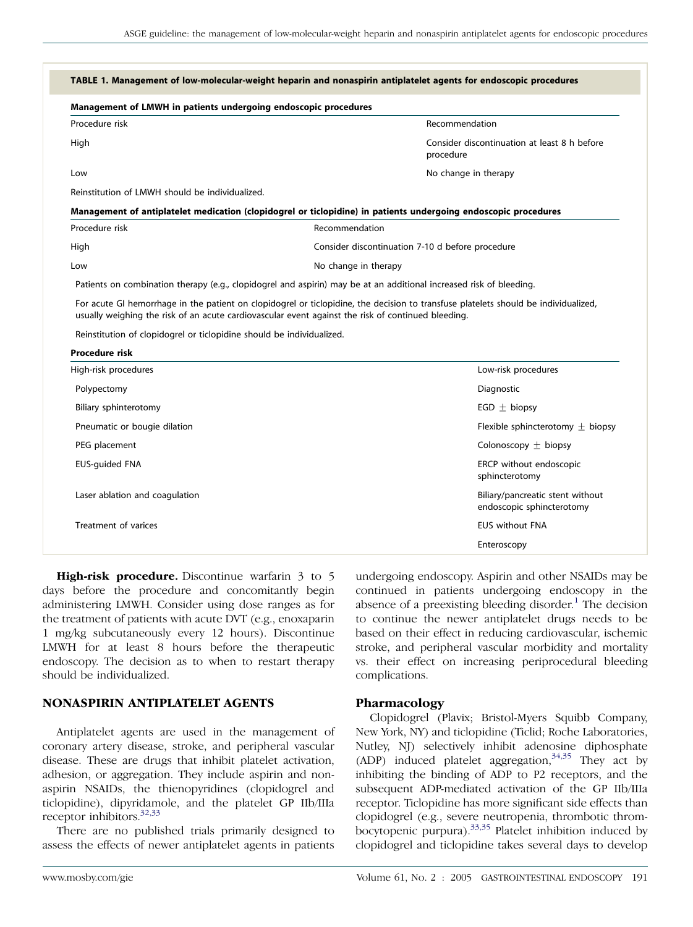<span id="page-2-0"></span>

| Management of LMWH in patients undergoing endoscopic procedures       |                                                                                                                                                                                                                                           |
|-----------------------------------------------------------------------|-------------------------------------------------------------------------------------------------------------------------------------------------------------------------------------------------------------------------------------------|
| Procedure risk                                                        | Recommendation                                                                                                                                                                                                                            |
| High                                                                  | Consider discontinuation at least 8 h before<br>procedure                                                                                                                                                                                 |
| Low                                                                   | No change in therapy                                                                                                                                                                                                                      |
| Reinstitution of LMWH should be individualized.                       |                                                                                                                                                                                                                                           |
|                                                                       | Management of antiplatelet medication (clopidogrel or ticlopidine) in patients undergoing endoscopic procedures                                                                                                                           |
| Procedure risk                                                        | Recommendation                                                                                                                                                                                                                            |
| High                                                                  | Consider discontinuation 7-10 d before procedure                                                                                                                                                                                          |
| Low                                                                   | No change in therapy                                                                                                                                                                                                                      |
|                                                                       | Patients on combination therapy (e.g., clopidogrel and aspirin) may be at an additional increased risk of bleeding.                                                                                                                       |
|                                                                       | For acute GI hemorrhage in the patient on clopidogrel or ticlopidine, the decision to transfuse platelets should be individualized,<br>usually weighing the risk of an acute cardiovascular event against the risk of continued bleeding. |
| Reinstitution of clopidogrel or ticlopidine should be individualized. |                                                                                                                                                                                                                                           |
| <b>Procedure risk</b>                                                 |                                                                                                                                                                                                                                           |
| High-risk procedures                                                  | Low-risk procedures                                                                                                                                                                                                                       |
| Polypectomy                                                           | Diagnostic                                                                                                                                                                                                                                |
| Biliary sphinterotomy                                                 | EGD $\pm$ biopsy                                                                                                                                                                                                                          |
| Pneumatic or bougie dilation                                          | Flexible sphincterotomy $\pm$ biopsy                                                                                                                                                                                                      |
| PEG placement                                                         | Colonoscopy $\pm$ biopsy                                                                                                                                                                                                                  |
| <b>EUS-guided FNA</b>                                                 | ERCP without endoscopic<br>sphincterotomy                                                                                                                                                                                                 |
| Laser ablation and coagulation                                        | Biliary/pancreatic stent without<br>endoscopic sphincterotomy                                                                                                                                                                             |
| Treatment of varices                                                  | <b>EUS without FNA</b>                                                                                                                                                                                                                    |
|                                                                       | Enteroscopy                                                                                                                                                                                                                               |

High-risk procedure. Discontinue warfarin 3 to 5 days before the procedure and concomitantly begin administering LMWH. Consider using dose ranges as for the treatment of patients with acute DVT (e.g., enoxaparin 1 mg/kg subcutaneously every 12 hours). Discontinue LMWH for at least 8 hours before the therapeutic endoscopy. The decision as to when to restart therapy should be individualized.

#### NONASPIRIN ANTIPLATELET AGENTS

Antiplatelet agents are used in the management of coronary artery disease, stroke, and peripheral vascular disease. These are drugs that inhibit platelet activation, adhesion, or aggregation. They include aspirin and nonaspirin NSAIDs, the thienopyridines (clopidogrel and ticlopidine), dipyridamole, and the platelet GP IIb/IIIa receptor inhibitors.<sup>[32,33](#page-5-0)</sup>

There are no published trials primarily designed to assess the effects of newer antiplatelet agents in patients undergoing endoscopy. Aspirin and other NSAIDs may be continued in patients undergoing endoscopy in the absence of a preexisting bleeding disorder. $<sup>1</sup>$  $<sup>1</sup>$  $<sup>1</sup>$  The decision</sup> to continue the newer antiplatelet drugs needs to be based on their effect in reducing cardiovascular, ischemic stroke, and peripheral vascular morbidity and mortality vs. their effect on increasing periprocedural bleeding complications.

# Pharmacology

Clopidogrel (Plavix; Bristol-Myers Squibb Company, New York, NY) and ticlopidine (Ticlid; Roche Laboratories, Nutley, NJ) selectively inhibit adenosine diphosphate (ADP) induced platelet aggregation,  $34,35$  They act by inhibiting the binding of ADP to P2 receptors, and the subsequent ADP-mediated activation of the GP IIb/IIIa receptor. Ticlopidine has more significant side effects than clopidogrel (e.g., severe neutropenia, thrombotic thrombocytopenic purpura).[33,35](#page-5-0) Platelet inhibition induced by clopidogrel and ticlopidine takes several days to develop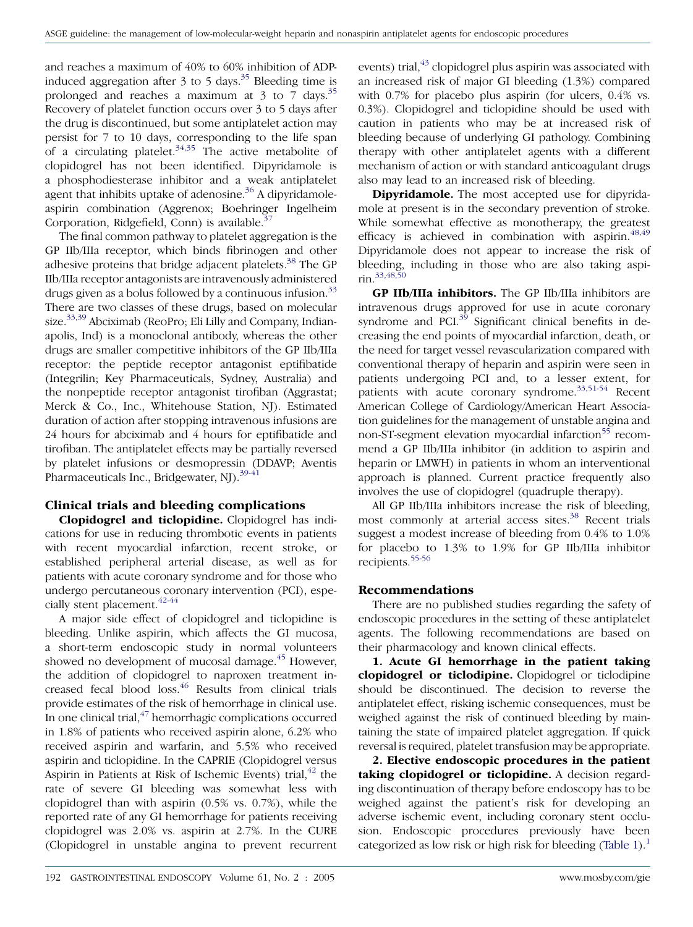and reaches a maximum of 40% to 60% inhibition of ADP-induced aggregation after 3 to 5 days.<sup>[35](#page-5-0)</sup> Bleeding time is prolonged and reaches a maximum at  $3$  to 7 days.<sup>[35](#page-5-0)</sup> Recovery of platelet function occurs over 3 to 5 days after the drug is discontinued, but some antiplatelet action may persist for 7 to 10 days, corresponding to the life span of a circulating platelet.<sup>[34,35](#page-5-0)</sup> The active metabolite of clopidogrel has not been identified. Dipyridamole is a phosphodiesterase inhibitor and a weak antiplatelet agent that inhibits uptake of adenosine.<sup>[36](#page-5-0)</sup> A dipyridamoleaspirin combination (Aggrenox; Boehringer Ingelheim Corporation, Ridgefield, Conn) is available. $3$ 

The final common pathway to platelet aggregation is the GP IIb/IIIa receptor, which binds fibrinogen and other adhesive proteins that bridge adjacent platelets.<sup>[38](#page-5-0)</sup> The GP IIb/IIIa receptor antagonists are intravenously administered drugs given as a bolus followed by a continuous infusion.<sup>[33](#page-5-0)</sup> There are two classes of these drugs, based on molecular size.<sup>[33,39](#page-5-0)</sup> Abciximab (ReoPro; Eli Lilly and Company, Indianapolis, Ind) is a monoclonal antibody, whereas the other drugs are smaller competitive inhibitors of the GP IIb/IIIa receptor: the peptide receptor antagonist eptifibatide (Integrilin; Key Pharmaceuticals, Sydney, Australia) and the nonpeptide receptor antagonist tirofiban (Aggrastat; Merck & Co., Inc., Whitehouse Station, NJ). Estimated duration of action after stopping intravenous infusions are 24 hours for abciximab and 4 hours for eptifibatide and tirofiban. The antiplatelet effects may be partially reversed by platelet infusions or desmopressin (DDAVP; Aventis Pharmaceuticals Inc., Bridgewater, NJ).<sup>[39-41](#page-5-0)</sup>

## Clinical trials and bleeding complications

Clopidogrel and ticlopidine. Clopidogrel has indications for use in reducing thrombotic events in patients with recent myocardial infarction, recent stroke, or established peripheral arterial disease, as well as for patients with acute coronary syndrome and for those who undergo percutaneous coronary intervention (PCI), espe-cially stent placement.<sup>[42-44](#page-5-0)</sup>

A major side effect of clopidogrel and ticlopidine is bleeding. Unlike aspirin, which affects the GI mucosa, a short-term endoscopic study in normal volunteers showed no development of mucosal damage.<sup>[45](#page-5-0)</sup> However, the addition of clopidogrel to naproxen treatment increased fecal blood loss.[46](#page-5-0) Results from clinical trials provide estimates of the risk of hemorrhage in clinical use. In one clinical trial, $47$  hemorrhagic complications occurred in 1.8% of patients who received aspirin alone, 6.2% who received aspirin and warfarin, and 5.5% who received aspirin and ticlopidine. In the CAPRIE (Clopidogrel versus Aspirin in Patients at Risk of Ischemic Events) trial,  $42$  the rate of severe GI bleeding was somewhat less with clopidogrel than with aspirin (0.5% vs. 0.7%), while the reported rate of any GI hemorrhage for patients receiving clopidogrel was 2.0% vs. aspirin at 2.7%. In the CURE (Clopidogrel in unstable angina to prevent recurrent

events) trial, $^{43}$  $^{43}$  $^{43}$  clopidogrel plus aspirin was associated with an increased risk of major GI bleeding (1.3%) compared with 0.7% for placebo plus aspirin (for ulcers, 0.4% vs. 0.3%). Clopidogrel and ticlopidine should be used with caution in patients who may be at increased risk of bleeding because of underlying GI pathology. Combining therapy with other antiplatelet agents with a different mechanism of action or with standard anticoagulant drugs also may lead to an increased risk of bleeding.

**Dipyridamole.** The most accepted use for dipyridamole at present is in the secondary prevention of stroke. While somewhat effective as monotherapy, the greatest efficacy is achieved in combination with aspirin.<sup>[48,49](#page-5-0)</sup> Dipyridamole does not appear to increase the risk of bleeding, including in those who are also taking aspi- $\text{rin.}^{33,48,50}$  $\text{rin.}^{33,48,50}$  $\text{rin.}^{33,48,50}$ 

GP IIb/IIIa inhibitors. The GP IIb/IIIa inhibitors are intravenous drugs approved for use in acute coronary syndrome and PCI. $39$  Significant clinical benefits in decreasing the end points of myocardial infarction, death, or the need for target vessel revascularization compared with conventional therapy of heparin and aspirin were seen in patients undergoing PCI and, to a lesser extent, for patients with acute coronary syndrome. $33,51-54$  Recent American College of Cardiology/American Heart Association guidelines for the management of unstable angina and non-ST-segment elevation myocardial infarction<sup>[55](#page-5-0)</sup> recommend a GP IIb/IIIa inhibitor (in addition to aspirin and heparin or LMWH) in patients in whom an interventional approach is planned. Current practice frequently also involves the use of clopidogrel (quadruple therapy).

All GP IIb/IIIa inhibitors increase the risk of bleeding, most commonly at arterial access sites.<sup>[38](#page-5-0)</sup> Recent trials suggest a modest increase of bleeding from 0.4% to 1.0% for placebo to 1.3% to 1.9% for GP IIb/IIIa inhibitor recipients.[55-56](#page-5-0)

#### Recommendations

There are no published studies regarding the safety of endoscopic procedures in the setting of these antiplatelet agents. The following recommendations are based on their pharmacology and known clinical effects.

1. Acute GI hemorrhage in the patient taking clopidogrel or ticlodipine. Clopidogrel or ticlodipine should be discontinued. The decision to reverse the antiplatelet effect, risking ischemic consequences, must be weighed against the risk of continued bleeding by maintaining the state of impaired platelet aggregation. If quick reversal is required, platelet transfusion may be appropriate.

2. Elective endoscopic procedures in the patient taking clopidogrel or ticlopidine. A decision regarding discontinuation of therapy before endoscopy has to be weighed against the patient's risk for developing an adverse ischemic event, including coronary stent occlusion. Endoscopic procedures previously have been categorized as low risk or high risk for bleeding [\(Table 1](#page-2-0)).<sup>1</sup>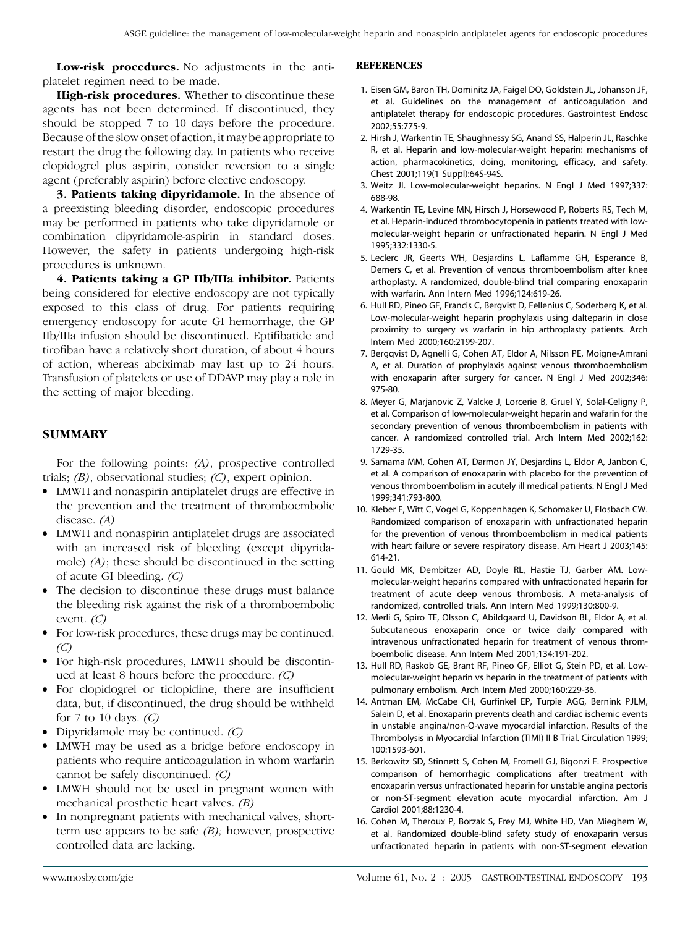<span id="page-4-0"></span>Low-risk procedures. No adjustments in the antiplatelet regimen need to be made.

High-risk procedures. Whether to discontinue these agents has not been determined. If discontinued, they should be stopped 7 to 10 days before the procedure. Because of the slow onset of action, it may be appropriate to restart the drug the following day. In patients who receive clopidogrel plus aspirin, consider reversion to a single agent (preferably aspirin) before elective endoscopy.

3. Patients taking dipyridamole. In the absence of a preexisting bleeding disorder, endoscopic procedures may be performed in patients who take dipyridamole or combination dipyridamole-aspirin in standard doses. However, the safety in patients undergoing high-risk procedures is unknown.

4. Patients taking a GP IIb/IIIa inhibitor. Patients being considered for elective endoscopy are not typically exposed to this class of drug. For patients requiring emergency endoscopy for acute GI hemorrhage, the GP IIb/IIIa infusion should be discontinued. Eptifibatide and tirofiban have a relatively short duration, of about 4 hours of action, whereas abciximab may last up to 24 hours. Transfusion of platelets or use of DDAVP may play a role in the setting of major bleeding.

#### SUMMARY

For the following points: (A), prospective controlled trials;  $(B)$ , observational studies;  $(C)$ , expert opinion.

- LMWH and nonaspirin antiplatelet drugs are effective in the prevention and the treatment of thromboembolic disease. (A)
- LMWH and nonaspirin antiplatelet drugs are associated with an increased risk of bleeding (except dipyridamole) (A); these should be discontinued in the setting of acute GI bleeding. (C)
- The decision to discontinue these drugs must balance the bleeding risk against the risk of a thromboembolic event.  $(C)$
- For low-risk procedures, these drugs may be continued.  $(C)$
- For high-risk procedures, LMWH should be discontinued at least 8 hours before the procedure. (C)
- For clopidogrel or ticlopidine, there are insufficient data, but, if discontinued, the drug should be withheld for 7 to 10 days. (C)
- Dipyridamole may be continued.  $(C)$
- LMWH may be used as a bridge before endoscopy in patients who require anticoagulation in whom warfarin cannot be safely discontinued. (C)
- LMWH should not be used in pregnant women with mechanical prosthetic heart valves. (B)
- In nonpregnant patients with mechanical valves, shortterm use appears to be safe  $(B)$ ; however, prospective controlled data are lacking.

#### **REFERENCES**

- 1. Eisen GM, Baron TH, Dominitz JA, Faigel DO, Goldstein JL, Johanson JF, et al. Guidelines on the management of anticoagulation and antiplatelet therapy for endoscopic procedures. Gastrointest Endosc 2002;55:775-9.
- 2. Hirsh J, Warkentin TE, Shaughnessy SG, Anand SS, Halperin JL, Raschke R, et al. Heparin and low-molecular-weight heparin: mechanisms of action, pharmacokinetics, doing, monitoring, efficacy, and safety. Chest 2001;119(1 Suppl):64S-94S.
- 3. Weitz JI. Low-molecular-weight heparins. N Engl J Med 1997;337: 688-98.
- 4. Warkentin TE, Levine MN, Hirsch J, Horsewood P, Roberts RS, Tech M, et al. Heparin-induced thrombocytopenia in patients treated with lowmolecular-weight heparin or unfractionated heparin. N Engl J Med 1995;332:1330-5.
- 5. Leclerc JR, Geerts WH, Desjardins L, Laflamme GH, Esperance B, Demers C, et al. Prevention of venous thromboembolism after knee arthoplasty. A randomized, double-blind trial comparing enoxaparin with warfarin. Ann Intern Med 1996;124:619-26.
- 6. Hull RD, Pineo GF, Francis C, Bergvist D, Fellenius C, Soderberg K, et al. Low-molecular-weight heparin prophylaxis using dalteparin in close proximity to surgery vs warfarin in hip arthroplasty patients. Arch Intern Med 2000;160:2199-207.
- 7. Bergqvist D, Agnelli G, Cohen AT, Eldor A, Nilsson PE, Moigne-Amrani A, et al. Duration of prophylaxis against venous thromboembolism with enoxaparin after surgery for cancer. N Engl J Med 2002;346: 975-80.
- 8. Meyer G, Marjanovic Z, Valcke J, Lorcerie B, Gruel Y, Solal-Celigny P, et al. Comparison of low-molecular-weight heparin and wafarin for the secondary prevention of venous thromboembolism in patients with cancer. A randomized controlled trial. Arch Intern Med 2002;162: 1729-35.
- 9. Samama MM, Cohen AT, Darmon JY, Desjardins L, Eldor A, Janbon C, et al. A comparison of enoxaparin with placebo for the prevention of venous thromboembolism in acutely ill medical patients. N Engl J Med 1999;341:793-800.
- 10. Kleber F, Witt C, Vogel G, Koppenhagen K, Schomaker U, Flosbach CW. Randomized comparison of enoxaparin with unfractionated heparin for the prevention of venous thromboembolism in medical patients with heart failure or severe respiratory disease. Am Heart J 2003;145: 614-21.
- 11. Gould MK, Dembitzer AD, Doyle RL, Hastie TJ, Garber AM. Lowmolecular-weight heparins compared with unfractionated heparin for treatment of acute deep venous thrombosis. A meta-analysis of randomized, controlled trials. Ann Intern Med 1999;130:800-9.
- 12. Merli G, Spiro TE, Olsson C, Abildgaard U, Davidson BL, Eldor A, et al. Subcutaneous enoxaparin once or twice daily compared with intravenous unfractionated heparin for treatment of venous thromboembolic disease. Ann Intern Med 2001;134:191-202.
- 13. Hull RD, Raskob GE, Brant RF, Pineo GF, Elliot G, Stein PD, et al. Lowmolecular-weight heparin vs heparin in the treatment of patients with pulmonary embolism. Arch Intern Med 2000;160:229-36.
- 14. Antman EM, McCabe CH, Gurfinkel EP, Turpie AGG, Bernink PJLM, Salein D, et al. Enoxaparin prevents death and cardiac ischemic events in unstable angina/non-Q-wave myocardial infarction. Results of the Thrombolysis in Myocardial Infarction (TIMI) II B Trial. Circulation 1999; 100:1593-601.
- 15. Berkowitz SD, Stinnett S, Cohen M, Fromell GJ, Bigonzi F. Prospective comparison of hemorrhagic complications after treatment with enoxaparin versus unfractionated heparin for unstable angina pectoris or non-ST-segment elevation acute myocardial infarction. Am J Cardiol 2001;88:1230-4.
- 16. Cohen M, Theroux P, Borzak S, Frey MJ, White HD, Van Mieghem W, et al. Randomized double-blind safety study of enoxaparin versus unfractionated heparin in patients with non-ST-segment elevation